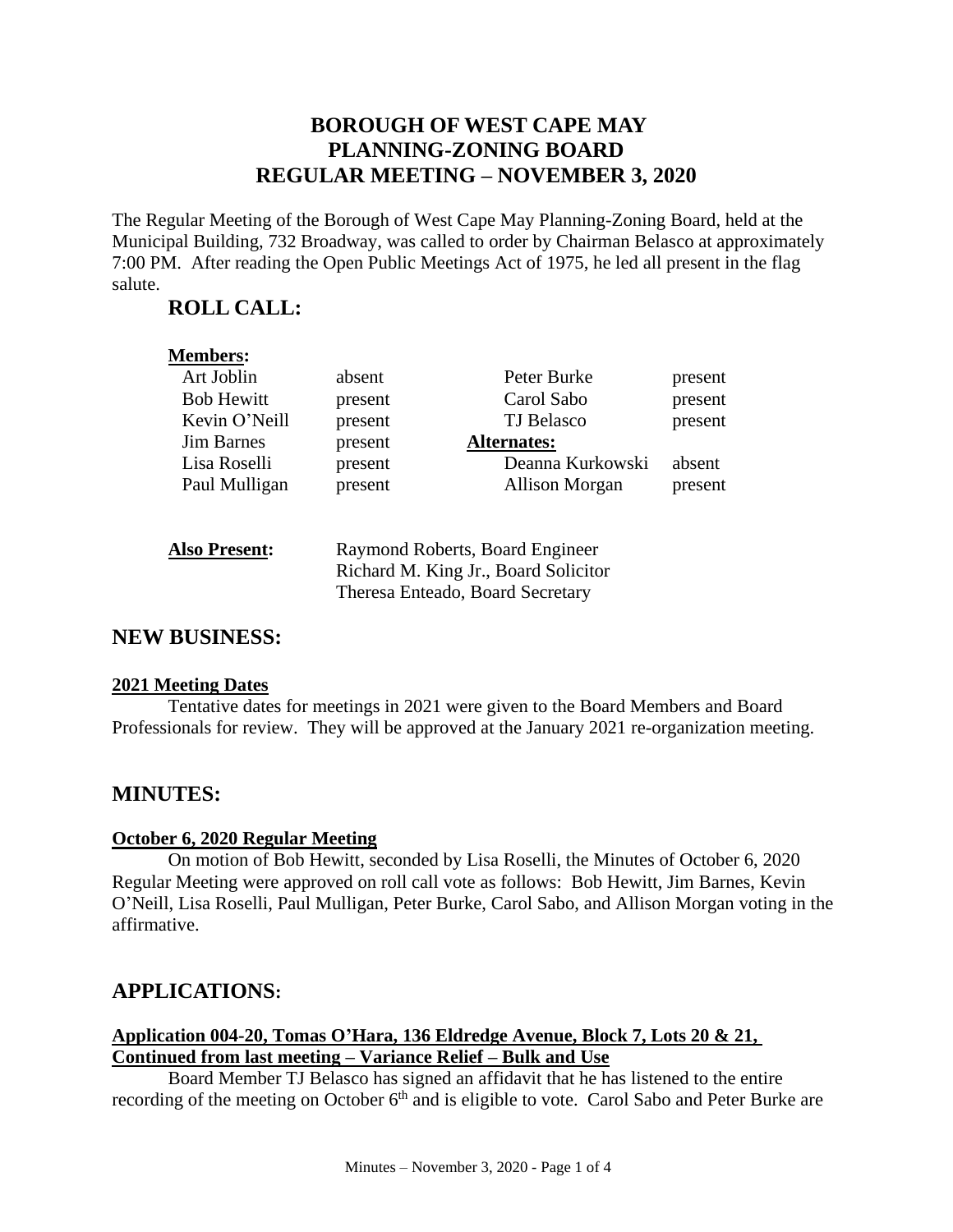# **BOROUGH OF WEST CAPE MAY PLANNING-ZONING BOARD REGULAR MEETING – NOVEMBER 3, 2020**

The Regular Meeting of the Borough of West Cape May Planning-Zoning Board, held at the Municipal Building, 732 Broadway, was called to order by Chairman Belasco at approximately 7:00 PM. After reading the Open Public Meetings Act of 1975, he led all present in the flag salute.

### **ROLL CALL:**

**Members:**

| <b>Members:</b>      |                                      |                       |         |
|----------------------|--------------------------------------|-----------------------|---------|
| Art Joblin           | absent                               | Peter Burke           | present |
| <b>Bob Hewitt</b>    | present                              | Carol Sabo            | present |
| Kevin O'Neill        | present                              | TJ Belasco            | present |
| <b>Jim Barnes</b>    | present                              | <b>Alternates:</b>    |         |
| Lisa Roselli         | present                              | Deanna Kurkowski      | absent  |
| Paul Mulligan        | present                              | <b>Allison Morgan</b> | present |
|                      |                                      |                       |         |
| <b>Also Present:</b> | Raymond Roberts, Board Engineer      |                       |         |
|                      | Richard M. King Jr., Board Solicitor |                       |         |

### **NEW BUSINESS:**

#### **2021 Meeting Dates**

Tentative dates for meetings in 2021 were given to the Board Members and Board Professionals for review. They will be approved at the January 2021 re-organization meeting.

Theresa Enteado, Board Secretary

### **MINUTES:**

#### **October 6, 2020 Regular Meeting**

On motion of Bob Hewitt, seconded by Lisa Roselli, the Minutes of October 6, 2020 Regular Meeting were approved on roll call vote as follows: Bob Hewitt, Jim Barnes, Kevin O'Neill, Lisa Roselli, Paul Mulligan, Peter Burke, Carol Sabo, and Allison Morgan voting in the affirmative.

# **APPLICATIONS:**

### **Application 004-20, Tomas O'Hara, 136 Eldredge Avenue, Block 7, Lots 20 & 21, Continued from last meeting – Variance Relief – Bulk and Use**

Board Member TJ Belasco has signed an affidavit that he has listened to the entire recording of the meeting on October  $6<sup>th</sup>$  and is eligible to vote. Carol Sabo and Peter Burke are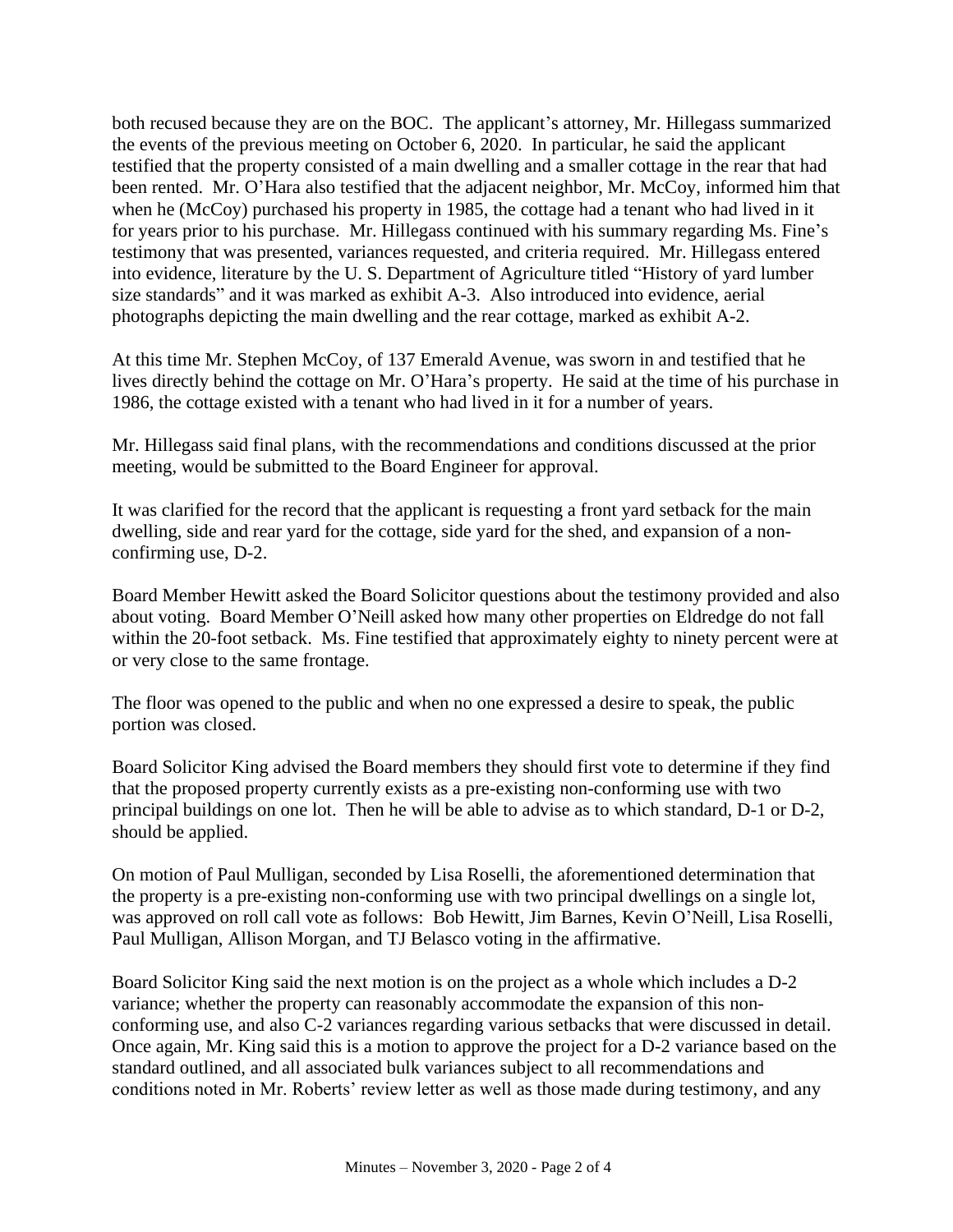both recused because they are on the BOC. The applicant's attorney, Mr. Hillegass summarized the events of the previous meeting on October 6, 2020. In particular, he said the applicant testified that the property consisted of a main dwelling and a smaller cottage in the rear that had been rented. Mr. O'Hara also testified that the adjacent neighbor, Mr. McCoy, informed him that when he (McCoy) purchased his property in 1985, the cottage had a tenant who had lived in it for years prior to his purchase. Mr. Hillegass continued with his summary regarding Ms. Fine's testimony that was presented, variances requested, and criteria required. Mr. Hillegass entered into evidence, literature by the U. S. Department of Agriculture titled "History of yard lumber size standards" and it was marked as exhibit A-3. Also introduced into evidence, aerial photographs depicting the main dwelling and the rear cottage, marked as exhibit A-2.

At this time Mr. Stephen McCoy, of 137 Emerald Avenue, was sworn in and testified that he lives directly behind the cottage on Mr. O'Hara's property. He said at the time of his purchase in 1986, the cottage existed with a tenant who had lived in it for a number of years.

Mr. Hillegass said final plans, with the recommendations and conditions discussed at the prior meeting, would be submitted to the Board Engineer for approval.

It was clarified for the record that the applicant is requesting a front yard setback for the main dwelling, side and rear yard for the cottage, side yard for the shed, and expansion of a nonconfirming use, D-2.

Board Member Hewitt asked the Board Solicitor questions about the testimony provided and also about voting. Board Member O'Neill asked how many other properties on Eldredge do not fall within the 20-foot setback. Ms. Fine testified that approximately eighty to ninety percent were at or very close to the same frontage.

The floor was opened to the public and when no one expressed a desire to speak, the public portion was closed.

Board Solicitor King advised the Board members they should first vote to determine if they find that the proposed property currently exists as a pre-existing non-conforming use with two principal buildings on one lot. Then he will be able to advise as to which standard, D-1 or D-2, should be applied.

On motion of Paul Mulligan, seconded by Lisa Roselli, the aforementioned determination that the property is a pre-existing non-conforming use with two principal dwellings on a single lot, was approved on roll call vote as follows: Bob Hewitt, Jim Barnes, Kevin O'Neill, Lisa Roselli, Paul Mulligan, Allison Morgan, and TJ Belasco voting in the affirmative.

Board Solicitor King said the next motion is on the project as a whole which includes a D-2 variance; whether the property can reasonably accommodate the expansion of this nonconforming use, and also C-2 variances regarding various setbacks that were discussed in detail. Once again, Mr. King said this is a motion to approve the project for a D-2 variance based on the standard outlined, and all associated bulk variances subject to all recommendations and conditions noted in Mr. Roberts' review letter as well as those made during testimony, and any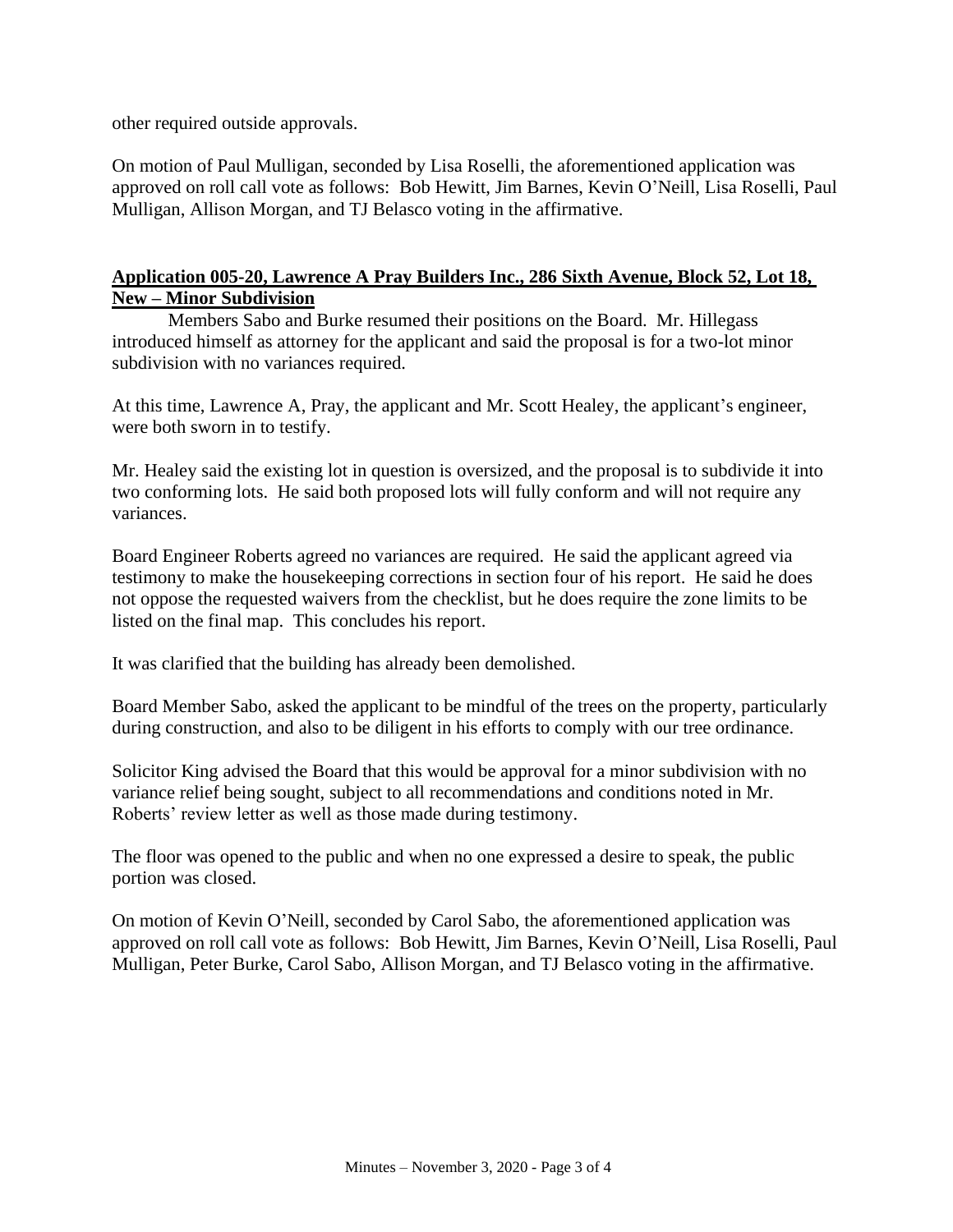other required outside approvals.

On motion of Paul Mulligan, seconded by Lisa Roselli, the aforementioned application was approved on roll call vote as follows: Bob Hewitt, Jim Barnes, Kevin O'Neill, Lisa Roselli, Paul Mulligan, Allison Morgan, and TJ Belasco voting in the affirmative.

#### **Application 005-20, Lawrence A Pray Builders Inc., 286 Sixth Avenue, Block 52, Lot 18, New – Minor Subdivision**

Members Sabo and Burke resumed their positions on the Board. Mr. Hillegass introduced himself as attorney for the applicant and said the proposal is for a two-lot minor subdivision with no variances required.

At this time, Lawrence A, Pray, the applicant and Mr. Scott Healey, the applicant's engineer, were both sworn in to testify.

Mr. Healey said the existing lot in question is oversized, and the proposal is to subdivide it into two conforming lots. He said both proposed lots will fully conform and will not require any variances.

Board Engineer Roberts agreed no variances are required. He said the applicant agreed via testimony to make the housekeeping corrections in section four of his report. He said he does not oppose the requested waivers from the checklist, but he does require the zone limits to be listed on the final map. This concludes his report.

It was clarified that the building has already been demolished.

Board Member Sabo, asked the applicant to be mindful of the trees on the property, particularly during construction, and also to be diligent in his efforts to comply with our tree ordinance.

Solicitor King advised the Board that this would be approval for a minor subdivision with no variance relief being sought, subject to all recommendations and conditions noted in Mr. Roberts' review letter as well as those made during testimony.

The floor was opened to the public and when no one expressed a desire to speak, the public portion was closed.

On motion of Kevin O'Neill, seconded by Carol Sabo, the aforementioned application was approved on roll call vote as follows: Bob Hewitt, Jim Barnes, Kevin O'Neill, Lisa Roselli, Paul Mulligan, Peter Burke, Carol Sabo, Allison Morgan, and TJ Belasco voting in the affirmative.